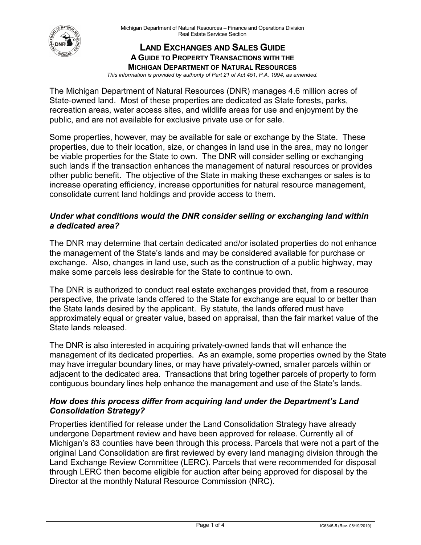

### **LAND EXCHANGES AND SALES GUIDE A GUIDE TO PROPERTY TRANSACTIONS WITH THE MICHIGAN DEPARTMENT OF NATURAL RESOURCES**

*This information is provided by authority of Part 21 of Act 451, P.A. 1994, as amended.* 

public, and are not available for exclusive private use or for sale. The Michigan Department of Natural Resources (DNR) manages 4.6 million acres of State-owned land. Most of these properties are dedicated as State forests, parks, recreation areas, water access sites, and wildlife areas for use and enjoyment by the

 be viable properties for the State to own. The DNR will consider selling or exchanging such lands if the transaction enhances the management of natural resources or provides Some properties, however, may be available for sale or exchange by the State. These properties, due to their location, size, or changes in land use in the area, may no longer other public benefit. The objective of the State in making these exchanges or sales is to increase operating efficiency, increase opportunities for natural resource management, consolidate current land holdings and provide access to them.

# *Under what conditions would the DNR consider selling or exchanging land within a dedicated area?*

 The DNR may determine that certain dedicated and/or isolated properties do not enhance exchange. Also, changes in land use, such as the construction of a public highway, may the management of the State's lands and may be considered available for purchase or make some parcels less desirable for the State to continue to own.

 The DNR is authorized to conduct real estate exchanges provided that, from a resource perspective, the private lands offered to the State for exchange are equal to or better than the State lands desired by the applicant. By statute, the lands offered must have State lands released approximately equal or greater value, based on appraisal, than the fair market value of the

 may have irregular boundary lines, or may have privately-owned, smaller parcels within or adjacent to the dedicated area. Transactions that bring together parcels of property to form The DNR is also interested in acquiring privately-owned lands that will enhance the management of its dedicated properties. As an example, some properties owned by the State contiguous boundary lines help enhance the management and use of the State's lands.

# *How does this process differ from acquiring land under the Department's Land Consolidation Strategy?*

 Land Exchange Review Committee (LERC). Parcels that were recommended for disposal Properties identified for release under the Land Consolidation Strategy have already undergone Department review and have been approved for release. Currently all of Michigan's 83 counties have been through this process. Parcels that were not a part of the original Land Consolidation are first reviewed by every land managing division through the through LERC then become eligible for auction after being approved for disposal by the Director at the monthly Natural Resource Commission (NRC).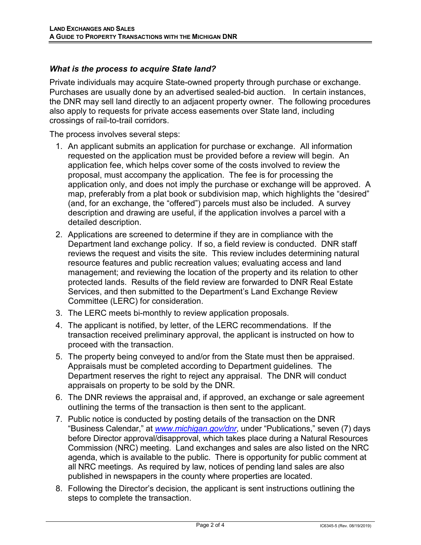## *What is the process to acquire State land?*

Private individuals may acquire State-owned property through purchase or exchange. the DNR may sell land directly to an adjacent property owner. The following procedures also apply to requests for private access easements over State land, including crossings of rail-to-trail corridors. Purchases are usually done by an advertised sealed-bid auction. In certain instances,

The process involves several steps:

- 1. An applicant submits an application for purchase or exchange. All information proposal, must accompany the application. The fee is for processing the application only, and does not imply the purchase or exchange will be approved. A map, preferably from a plat book or subdivision map, which highlights the "desired" (and, for an exchange, the "offered") parcels must also be included. A survey requested on the application must be provided before a review will begin. An application fee, which helps cover some of the costs involved to review the description and drawing are useful, if the application involves a parcel with a detailed description.
- 2. Applications are screened to determine if they are in compliance with the Department land exchange policy. If so, a field review is conducted. DNR staff reviews the request and visits the site. This review includes determining natural Committee (LERC) for consideration. resource features and public recreation values; evaluating access and land management; and reviewing the location of the property and its relation to other protected lands. Results of the field review are forwarded to DNR Real Estate Services, and then submitted to the Department's Land Exchange Review
- 3. The LERC meets bi-monthly to review application proposals.
- 4. The applicant is notified, by letter, of the LERC recommendations. If the transaction received preliminary approval, the applicant is instructed on how to proceed with the transaction.
- 5. The property being conveyed to and/or from the State must then be appraised. Appraisals must be completed according to Department guidelines. The Department reserves the right to reject any appraisal. The DNR will conduct appraisals on property to be sold by the DNR.
- outlining the terms of the transaction is then sent to the applicant. 6. The DNR reviews the appraisal and, if approved, an exchange or sale agreement
- all NRC meetings. As required by law, notices of pending land sales are also published in newspapers in the county where properties are located. 7. Public notice is conducted by posting details of the transaction on the DNR "Business Calendar," at *[www.michigan.gov/dn](www.michigan.gov/dnr)[r](http://www.michigan.gov/dnr)*, under "Publications," seven (7) days before Director approval/disapproval, which takes place during a Natural Resources Commission (NRC) meeting. Land exchanges and sales are also listed on the NRC agenda, which is available to the public. There is opportunity for public comment at
- steps to complete the transaction. 8. Following the Director's decision, the applicant is sent instructions outlining the steps to complete the transaction.<br>Page 2 of 4 IC6345-5 (Rev. 08/19/2019)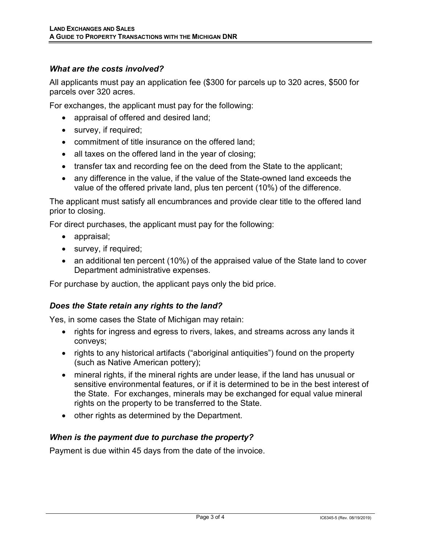# *What are the costs involved?*

parcels over 320 acres. All applicants must pay an application fee (\$300 for parcels up to 320 acres, \$500 for

For exchanges, the applicant must pay for the following:

- appraisal of offered and desired land;
- survey, if required;
- commitment of title insurance on the offered land;
- all taxes on the offered land in the year of closing;
- transfer tax and recording fee on the deed from the State to the applicant;
- • any difference in the value, if the value of the State-owned land exceeds the value of the offered private land, plus ten percent (10%) of the difference.

The applicant must satisfy all encumbrances and provide clear title to the offered land prior to closing.

For direct purchases, the applicant must pay for the following:

- appraisal;
- survey, if required;
- • an additional ten percent (10%) of the appraised value of the State land to cover Department administrative expenses.

For purchase by auction, the applicant pays only the bid price.

### *Does the State retain any rights to the land?*

Yes, in some cases the State of Michigan may retain:

- rights for ingress and egress to rivers, lakes, and streams across any lands it conveys;
- rights to any historical artifacts ("aboriginal antiquities") found on the property (such as Native American pottery);
- • mineral rights, if the mineral rights are under lease, if the land has unusual or rights on the property to be transferred to the State. sensitive environmental features, or if it is determined to be in the best interest of the State. For exchanges, minerals may be exchanged for equal value mineral
- other rights as determined by the Department.

### *When is the payment due to purchase the property?*

Payment is due within 45 days from the date of the invoice.